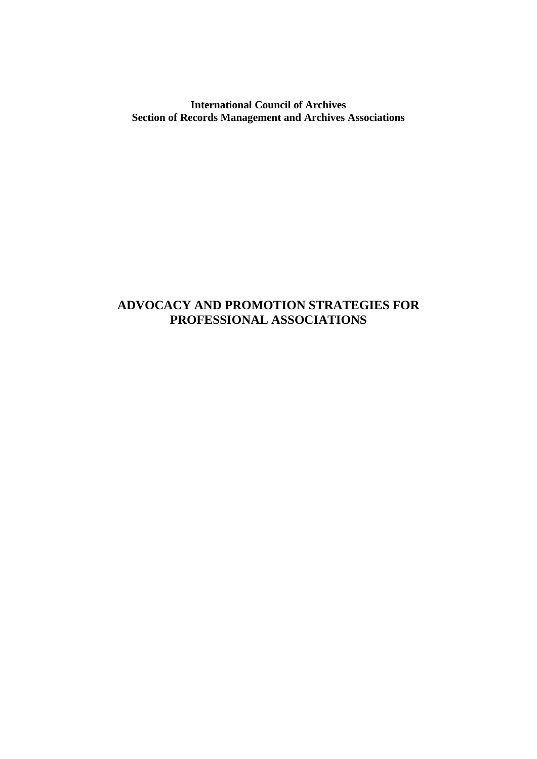## **International Council of Archives Section of Records Management and Archives Associations**

# **ADVOCACY AND PROMOTION STRATEGIES FOR PROFESSIONAL ASSOCIATIONS**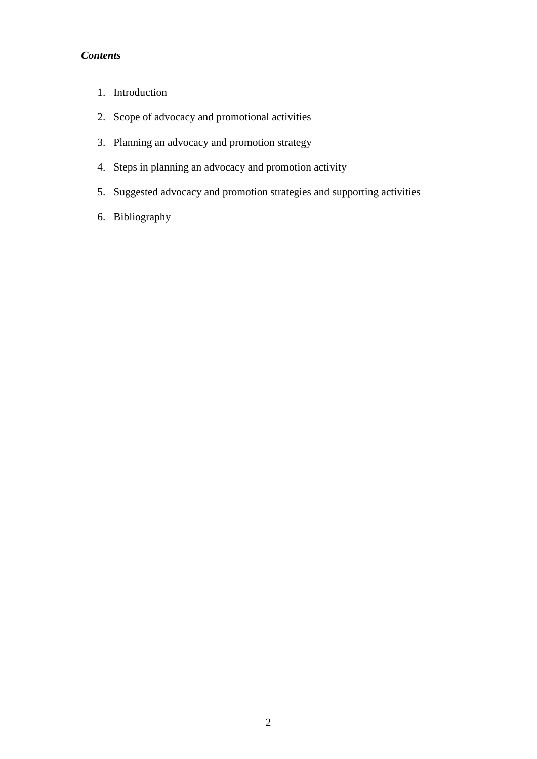# *Contents*

- 1. Introduction
- 2. Scope of advocacy and promotional activities
- 3. Planning an advocacy and promotion strategy
- 4. Steps in planning an advocacy and promotion activity
- 5. Suggested advocacy and promotion strategies and supporting activities
- 6. Bibliography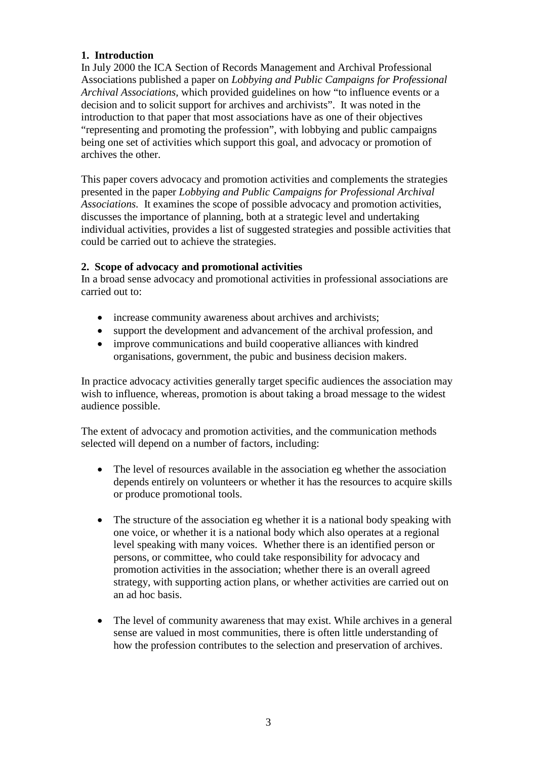## **1. Introduction**

In July 2000 the ICA Section of Records Management and Archival Professional Associations published a paper on *Lobbying and Public Campaigns for Professional Archival Associations,* which provided guidelines on how "to influence events or a decision and to solicit support for archives and archivists". It was noted in the introduction to that paper that most associations have as one of their objectives "representing and promoting the profession", with lobbying and public campaigns being one set of activities which support this goal, and advocacy or promotion of archives the other.

This paper covers advocacy and promotion activities and complements the strategies presented in the paper *Lobbying and Public Campaigns for Professional Archival Associations.* It examines the scope of possible advocacy and promotion activities, discusses the importance of planning, both at a strategic level and undertaking individual activities, provides a list of suggested strategies and possible activities that could be carried out to achieve the strategies.

#### **2. Scope of advocacy and promotional activities**

In a broad sense advocacy and promotional activities in professional associations are carried out to:

- increase community awareness about archives and archivists;
- support the development and advancement of the archival profession, and
- improve communications and build cooperative alliances with kindred organisations, government, the pubic and business decision makers.

In practice advocacy activities generally target specific audiences the association may wish to influence, whereas, promotion is about taking a broad message to the widest audience possible.

The extent of advocacy and promotion activities, and the communication methods selected will depend on a number of factors, including:

- The level of resources available in the association eg whether the association depends entirely on volunteers or whether it has the resources to acquire skills or produce promotional tools.
- The structure of the association eg whether it is a national body speaking with one voice, or whether it is a national body which also operates at a regional level speaking with many voices. Whether there is an identified person or persons, or committee, who could take responsibility for advocacy and promotion activities in the association; whether there is an overall agreed strategy, with supporting action plans, or whether activities are carried out on an ad hoc basis.
- The level of community awareness that may exist. While archives in a general sense are valued in most communities, there is often little understanding of how the profession contributes to the selection and preservation of archives.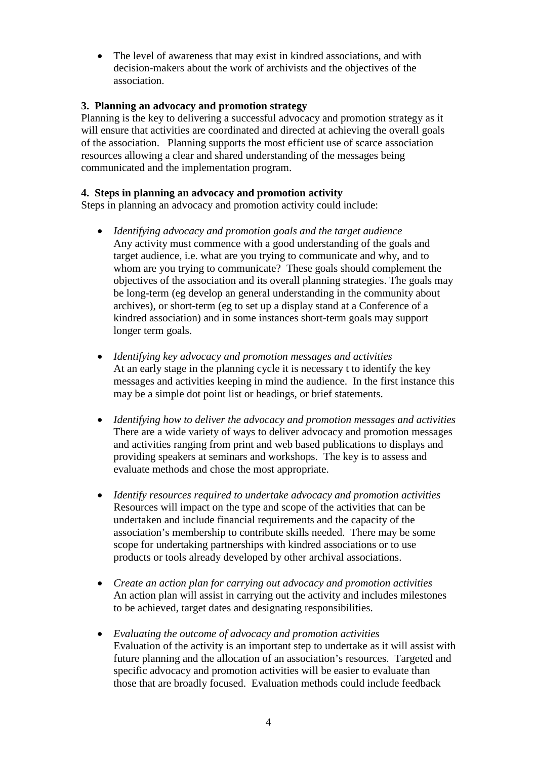• The level of awareness that may exist in kindred associations, and with decision-makers about the work of archivists and the objectives of the association.

## **3. Planning an advocacy and promotion strategy**

Planning is the key to delivering a successful advocacy and promotion strategy as it will ensure that activities are coordinated and directed at achieving the overall goals of the association. Planning supports the most efficient use of scarce association resources allowing a clear and shared understanding of the messages being communicated and the implementation program.

## **4. Steps in planning an advocacy and promotion activity**

Steps in planning an advocacy and promotion activity could include:

- *Identifying advocacy and promotion goals and the target audience* Any activity must commence with a good understanding of the goals and target audience, i.e. what are you trying to communicate and why, and to whom are you trying to communicate? These goals should complement the objectives of the association and its overall planning strategies. The goals may be long-term (eg develop an general understanding in the community about archives), or short-term (eg to set up a display stand at a Conference of a kindred association) and in some instances short-term goals may support longer term goals.
- *Identifying key advocacy and promotion messages and activities* At an early stage in the planning cycle it is necessary t to identify the key messages and activities keeping in mind the audience. In the first instance this may be a simple dot point list or headings, or brief statements.
- *Identifying how to deliver the advocacy and promotion messages and activities* There are a wide variety of ways to deliver advocacy and promotion messages and activities ranging from print and web based publications to displays and providing speakers at seminars and workshops. The key is to assess and evaluate methods and chose the most appropriate.
- *Identify resources required to undertake advocacy and promotion activities* Resources will impact on the type and scope of the activities that can be undertaken and include financial requirements and the capacity of the association's membership to contribute skills needed. There may be some scope for undertaking partnerships with kindred associations or to use products or tools already developed by other archival associations.
- *Create an action plan for carrying out advocacy and promotion activities* An action plan will assist in carrying out the activity and includes milestones to be achieved, target dates and designating responsibilities.
- *Evaluating the outcome of advocacy and promotion activities* Evaluation of the activity is an important step to undertake as it will assist with future planning and the allocation of an association's resources. Targeted and specific advocacy and promotion activities will be easier to evaluate than those that are broadly focused. Evaluation methods could include feedback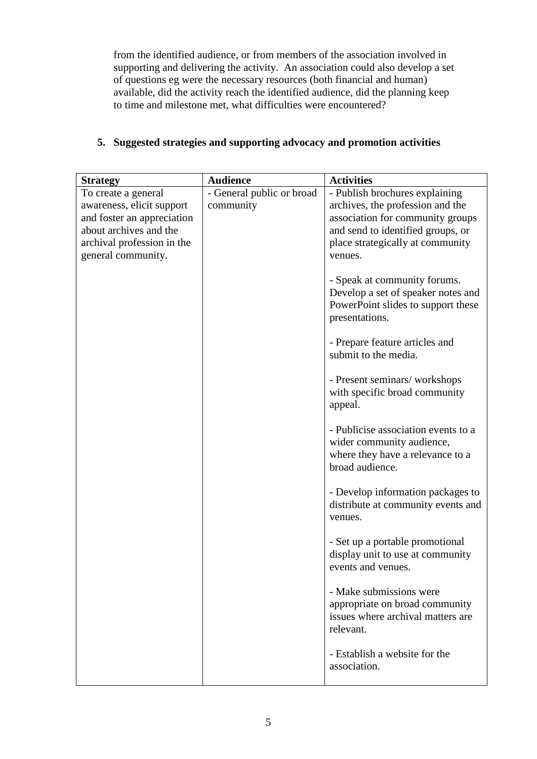from the identified audience, or from members of the association involved in supporting and delivering the activity. An association could also develop a set of questions eg were the necessary resources (both financial and human) available, did the activity reach the identified audience, did the planning keep to time and milestone met, what difficulties were encountered?

| <b>Strategy</b>            | <b>Audience</b>           | <b>Activities</b>                                                                                                                                                                                                                                                                                                                                                                                                                                                                                                                                                                                                                                                                             |
|----------------------------|---------------------------|-----------------------------------------------------------------------------------------------------------------------------------------------------------------------------------------------------------------------------------------------------------------------------------------------------------------------------------------------------------------------------------------------------------------------------------------------------------------------------------------------------------------------------------------------------------------------------------------------------------------------------------------------------------------------------------------------|
| To create a general        | - General public or broad | - Publish brochures explaining                                                                                                                                                                                                                                                                                                                                                                                                                                                                                                                                                                                                                                                                |
| awareness, elicit support  | community                 | archives, the profession and the                                                                                                                                                                                                                                                                                                                                                                                                                                                                                                                                                                                                                                                              |
| and foster an appreciation |                           | association for community groups                                                                                                                                                                                                                                                                                                                                                                                                                                                                                                                                                                                                                                                              |
| about archives and the     |                           | and send to identified groups, or                                                                                                                                                                                                                                                                                                                                                                                                                                                                                                                                                                                                                                                             |
| archival profession in the |                           | place strategically at community                                                                                                                                                                                                                                                                                                                                                                                                                                                                                                                                                                                                                                                              |
| general community.         |                           | venues.                                                                                                                                                                                                                                                                                                                                                                                                                                                                                                                                                                                                                                                                                       |
|                            |                           | - Speak at community forums.<br>Develop a set of speaker notes and<br>PowerPoint slides to support these<br>presentations.<br>- Prepare feature articles and<br>submit to the media.<br>- Present seminars/workshops<br>with specific broad community<br>appeal.<br>- Publicise association events to a<br>wider community audience,<br>where they have a relevance to a<br>broad audience.<br>- Develop information packages to<br>distribute at community events and<br>venues.<br>- Set up a portable promotional<br>display unit to use at community<br>events and venues.<br>- Make submissions were<br>appropriate on broad community<br>issues where archival matters are<br>relevant. |
|                            |                           | - Establish a website for the<br>association.                                                                                                                                                                                                                                                                                                                                                                                                                                                                                                                                                                                                                                                 |
|                            |                           |                                                                                                                                                                                                                                                                                                                                                                                                                                                                                                                                                                                                                                                                                               |

# **5. Suggested strategies and supporting advocacy and promotion activities**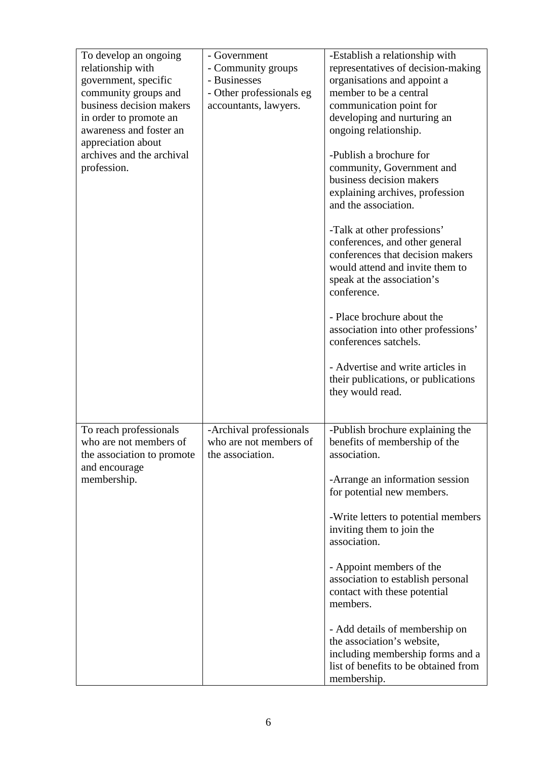| To develop an ongoing<br>relationship with<br>government, specific<br>community groups and<br>business decision makers<br>in order to promote an<br>awareness and foster an<br>appreciation about<br>archives and the archival<br>profession. | - Government<br>- Community groups<br>- Businesses<br>- Other professionals eg<br>accountants, lawyers. | -Establish a relationship with<br>representatives of decision-making<br>organisations and appoint a<br>member to be a central<br>communication point for<br>developing and nurturing an<br>ongoing relationship.<br>-Publish a brochure for<br>community, Government and<br>business decision makers<br>explaining archives, profession<br>and the association.<br>-Talk at other professions'<br>conferences, and other general<br>conferences that decision makers<br>would attend and invite them to<br>speak at the association's<br>conference.<br>- Place brochure about the<br>association into other professions'<br>conferences satchels. |
|-----------------------------------------------------------------------------------------------------------------------------------------------------------------------------------------------------------------------------------------------|---------------------------------------------------------------------------------------------------------|----------------------------------------------------------------------------------------------------------------------------------------------------------------------------------------------------------------------------------------------------------------------------------------------------------------------------------------------------------------------------------------------------------------------------------------------------------------------------------------------------------------------------------------------------------------------------------------------------------------------------------------------------|
|                                                                                                                                                                                                                                               |                                                                                                         | - Advertise and write articles in<br>their publications, or publications<br>they would read.                                                                                                                                                                                                                                                                                                                                                                                                                                                                                                                                                       |
| To reach professionals<br>who are not members of<br>the association to promote<br>and encourage<br>membership.                                                                                                                                | -Archival professionals<br>who are not members of<br>the association.                                   | -Publish brochure explaining the<br>benefits of membership of the<br>association.<br>-Arrange an information session<br>for potential new members.<br>-Write letters to potential members<br>inviting them to join the<br>association.<br>- Appoint members of the<br>association to establish personal<br>contact with these potential<br>members.<br>- Add details of membership on<br>the association's website,<br>including membership forms and a<br>list of benefits to be obtained from<br>membership.                                                                                                                                     |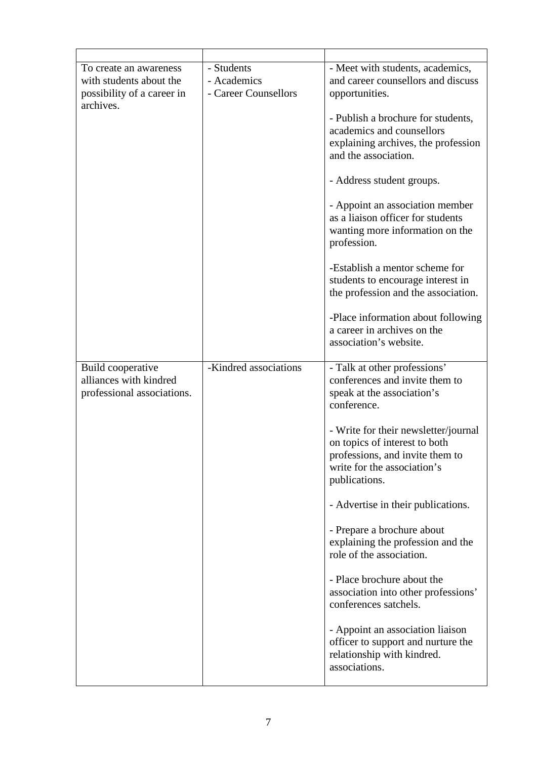| To create an awareness<br>with students about the<br>possibility of a career in<br>archives. | - Students<br>- Academics<br>- Career Counsellors | - Meet with students, academics,<br>and career counsellors and discuss<br>opportunities.                                                                 |
|----------------------------------------------------------------------------------------------|---------------------------------------------------|----------------------------------------------------------------------------------------------------------------------------------------------------------|
|                                                                                              |                                                   | - Publish a brochure for students,<br>academics and counsellors<br>explaining archives, the profession<br>and the association.                           |
|                                                                                              |                                                   | - Address student groups.                                                                                                                                |
|                                                                                              |                                                   | - Appoint an association member<br>as a liaison officer for students<br>wanting more information on the<br>profession.                                   |
|                                                                                              |                                                   | -Establish a mentor scheme for<br>students to encourage interest in<br>the profession and the association.                                               |
|                                                                                              |                                                   | -Place information about following<br>a career in archives on the<br>association's website.                                                              |
| Build cooperative<br>alliances with kindred<br>professional associations.                    | -Kindred associations                             | - Talk at other professions'<br>conferences and invite them to<br>speak at the association's<br>conference.                                              |
|                                                                                              |                                                   | - Write for their newsletter/journal<br>on topics of interest to both<br>professions, and invite them to<br>write for the association's<br>publications. |
|                                                                                              |                                                   | - Advertise in their publications.                                                                                                                       |
|                                                                                              |                                                   | - Prepare a brochure about<br>explaining the profession and the<br>role of the association.                                                              |
|                                                                                              |                                                   | - Place brochure about the<br>association into other professions'<br>conferences satchels.                                                               |
|                                                                                              |                                                   | - Appoint an association liaison<br>officer to support and nurture the<br>relationship with kindred.<br>associations.                                    |